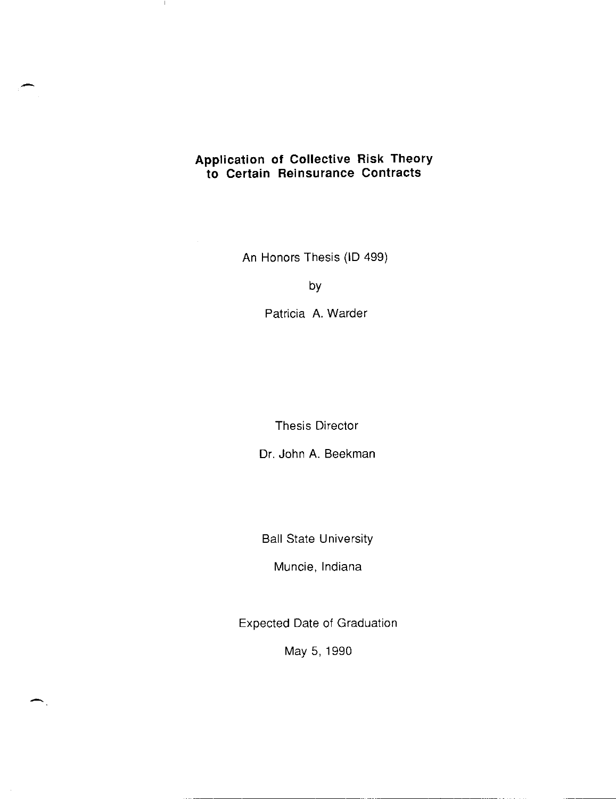### **Application of Collective Risk Theory to Certain Reinsurance Contracts**

-

 $\mathbf{I}$ 

An Honors Thesis (ID 499)

by

Patricia A. Warder

Thesis Director

Dr. John A. Beekman

Ball State University

Muncie, Indiana

Expected Date of Graduation

May 5,1990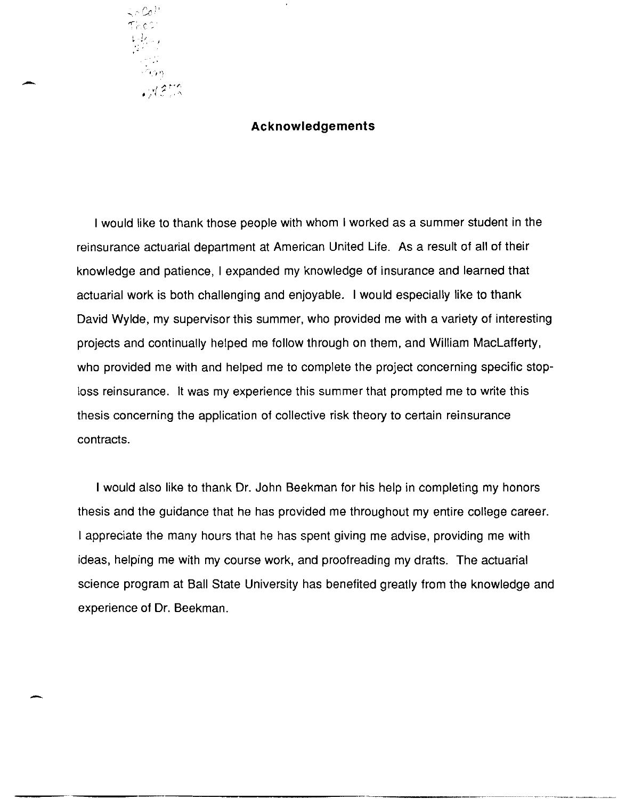

-

-

#### **Acknowledgements**

I would like to thank those people with whom I worked as a summer student in the reinsurance actuarial department at American United Life. As a result of all of their knowledge and patience, I expanded my knowledge of insurance and learned that actuarial work is both challenging and enjoyable. I would especially like to thank David Wylde, my supervisor this summer, who provided me with a variety of interesting projects and continually helped me follow through on them, and William MacLafferty, who provided me with and helped me to complete the project concerning specific stoploss reinsurance. **It** was my experience this summer that prompted me to write this thesis concerning the application of collective risk theory to certain reinsurance contracts.

I would also like to thank Dr. John Beekman for his help in completing my honors thesis and the guidance that he has provided me throughout my entire college career. I appreciate the many hours that he has spent giving me advise, providing me with ideas, helping me with my course work, and proofreading my drafts. The actuarial science program at Ball State University has benefited greatly from the knowledge and experience of Dr. Beekman.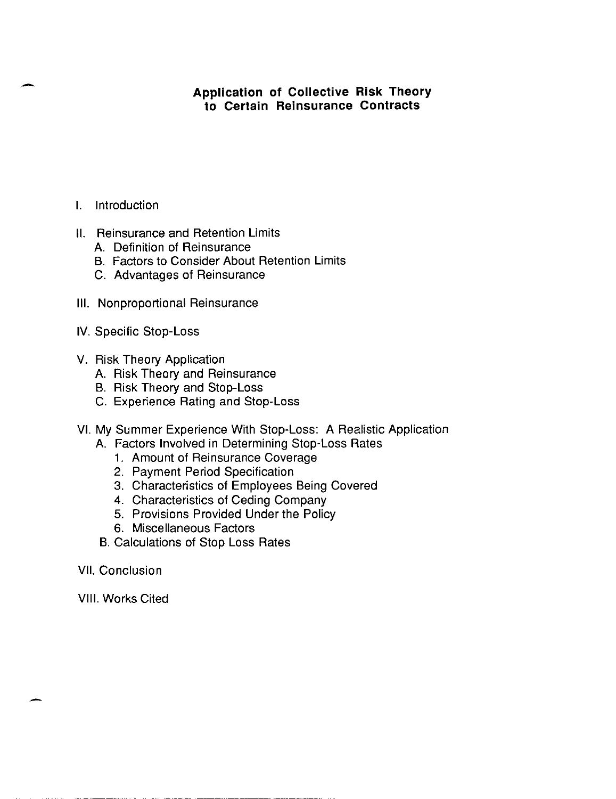# **Application of Collective Risk Theory to Certain Reinsurance Contracts**

- I. Introduction
- **II.** Reinsurance and Retention Limits
	- A. Definition of Reinsurance
	- B. Factors to Consider About Retention Limits
	- C. Advantages of Reinsurance
- **III.** Nonproportional Reinsurance
- IV. Specific Stop-Loss
- V. Risk Theory Application
	- A. Risk Theory and Reinsurance
	- B. Risk Theory and Stop-Loss
	- C. Experience Rating and Stop-Loss
- VI. My Summer Experience With Stop-Loss: A Realistic Application
	- A. Factors Involved in Determining Stop-Loss Rates
		- 1. Amount of Reinsurance Coverage
		- 2. Payment Period Specification
		- 3. Characteristics of Employees Being Covered
		- 4. Characteristics of Ceding Company
		- 5. Provisions Provided Under the Policy
		- 6. Miscellaneous Factors
	- B. Calculations of Stop Loss Rates
- VII. Conclusion

VIII. Works Cited

-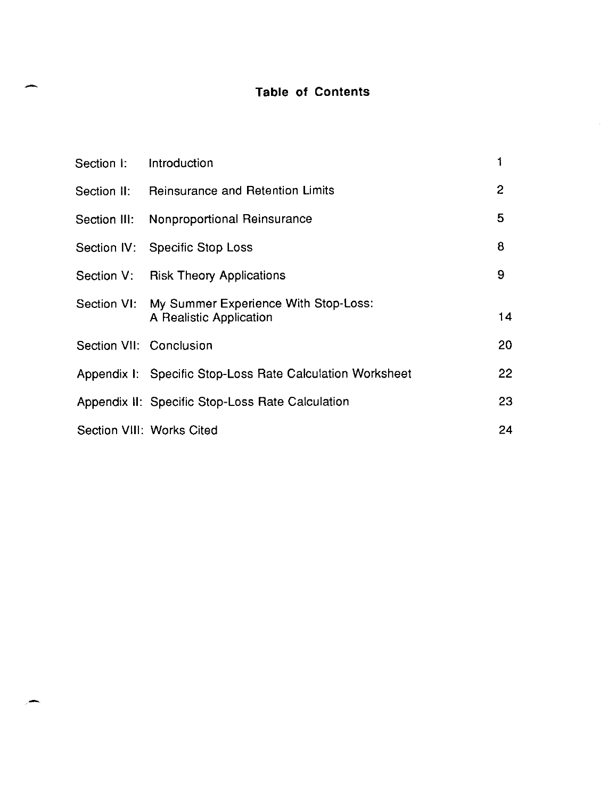# - **Table of Contents**

| Section I:              | Introduction                                                                |    |
|-------------------------|-----------------------------------------------------------------------------|----|
|                         | Section II: Reinsurance and Retention Limits                                | 2  |
|                         | Section III: Nonproportional Reinsurance                                    | 5  |
|                         | Section IV: Specific Stop Loss                                              | 8  |
|                         | Section V: Risk Theory Applications                                         | 9  |
|                         | Section VI: My Summer Experience With Stop-Loss:<br>A Realistic Application | 14 |
| Section VII: Conclusion |                                                                             | 20 |
|                         | Appendix I: Specific Stop-Loss Rate Calculation Worksheet                   | 22 |
|                         | Appendix II: Specific Stop-Loss Rate Calculation                            | 23 |
|                         | Section VIII: Works Cited                                                   | 24 |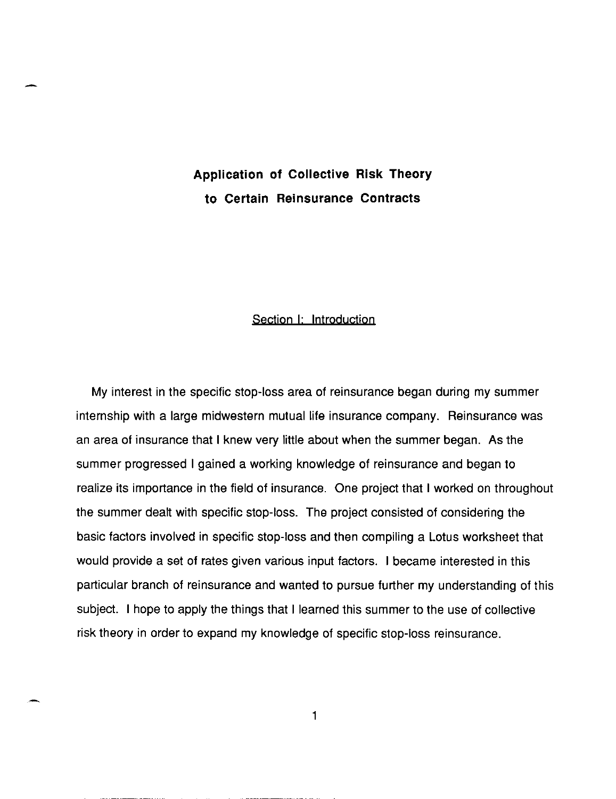# **Application of Collective Risk Theory to Certain Reinsurance Contracts**

-

#### Section I: Introduction

My interest in the specific stop-loss area of reinsurance began during my summer internship with a large midwestern mutual life insurance company. Reinsurance was an area of insurance that I knew very little about when the summer began. As the summer progressed I gained a working knowledge of reinsurance and began to realize its importance in the field of insurance. One project that I worked on throughout the summer dealt with specific stop-loss. **The** project consisted of considering the basic factors involved in specific stop-loss and then compiling a Lotus worksheet that would provide a set of rates given various input factors. I became interested in this particular branch of reinsurance and wanted to pursue further my understanding of this subject. I hope to apply the things that I learned this summer to the use of collective risk theory in order to expand my knowledge of specific stop-loss reinsurance.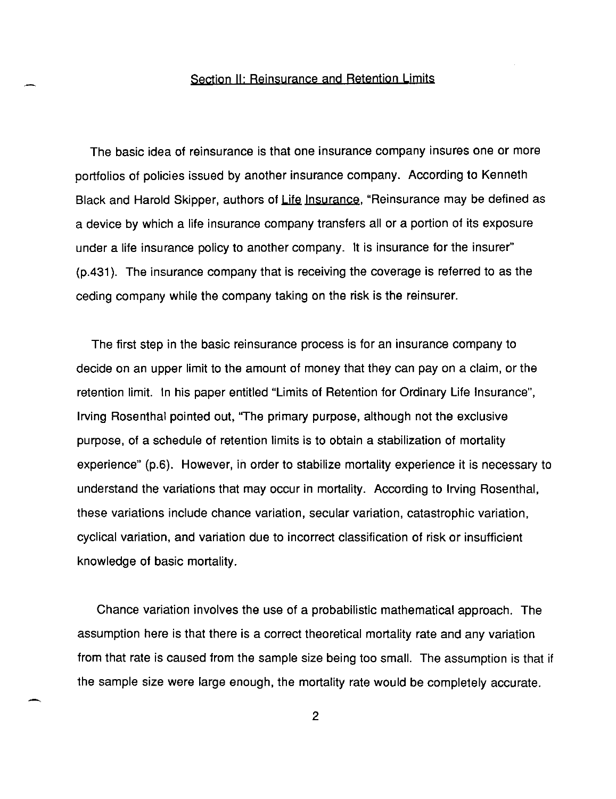#### Section II: Reinsurance and Retention Limits

The basic idea of reinsurance is that one insurance company insures one or more portfolios of policies issued by another insurance company. According to Kenneth Black and Harold Skipper, authors of Life Insurance, "Reinsurance may be defined as a device by which a life insurance company transfers all or a portion of its exposure under a life insurance policy to another company. It is insurance for the insurer" (p.431). The insurance company that is receiving the coverage is referred to as the ceding company while the company taking on the risk is the reinsurer.

The first step in the basic reinsurance process is for an insurance company to decide on an upper limit to the amount of money that they can pay on a claim, or the retention limit. In his paper entitled "Limits of Retention for Ordinary Life Insurance", Irving Rosenthal pointed out, ''The primary purpose, although not the exclusive purpose, of a schedule of retention limits is to obtain a stabilization of mortality experience" (p.6). However, in order to stabilize mortality experience it is necessary to understand the variations that may occur in mortality. According to Irving Rosenthal, these variations include chance variation, secular variation, catastrophic variation, cyclical variation, and variation due to incorrect classification of risk or insufficient knowledge of basic mortality.

Chance variation involves the use of a probabilistic mathematical approach. The assumption here is that there is a correct theoretical mortality rate and any variation from that rate is caused from the sample size being too small. The assumption is that if the sample size were large enough, the mortality rate would be completely accurate.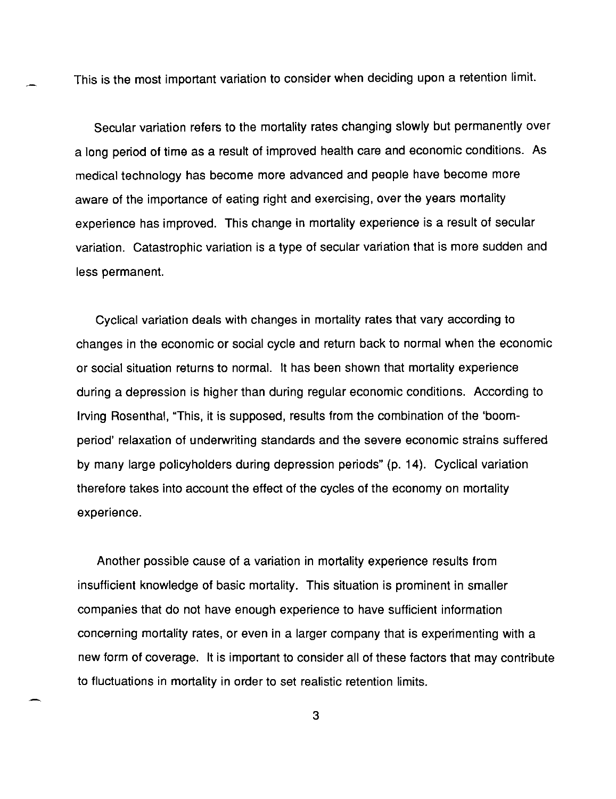This is the most important variation to consider when deciding upon a retention limit.

Secular variation refers to the mortality rates changing slowly but permanently over a long period of time as a result of improved health care and economic conditions. As medical technology has become more advanced and people have become more aware of the importance of eating right and exercising, over the years mortality experience has improved. This change in mortality experience is a result of secular variation. Catastrophic variation is a type of secular variation that is more sudden and less permanent.

Cyclical variation deals with changes in mortality rates that vary according to changes in the economic or social cycle and return back to normal when the economic or social situation returns to normal. It has been shown that mortality experience during a depression is higher than during regular economic conditions. According to Irving Rosenthal, "This, it is supposed, results from the combination of the 'boomperiod' relaxation of underwriting standards and the severe economic strains suffered by many large policyholders during depression periods" (p. 14). Cyclical variation therefore takes into account the effect of the cycles of the economy on mortality experience.

Another possible cause of a variation in mortality experience results from insufficient knowledge of basic mortality. This situation is prominent in smaller companies that do not have enough experience to have sufficient information concerning mortality rates, or even in a larger company that is experimenting with a new form of coverage. It is important to consider all of these factors that may contribute to fluctuations in mortality in order to set realistic retention limits.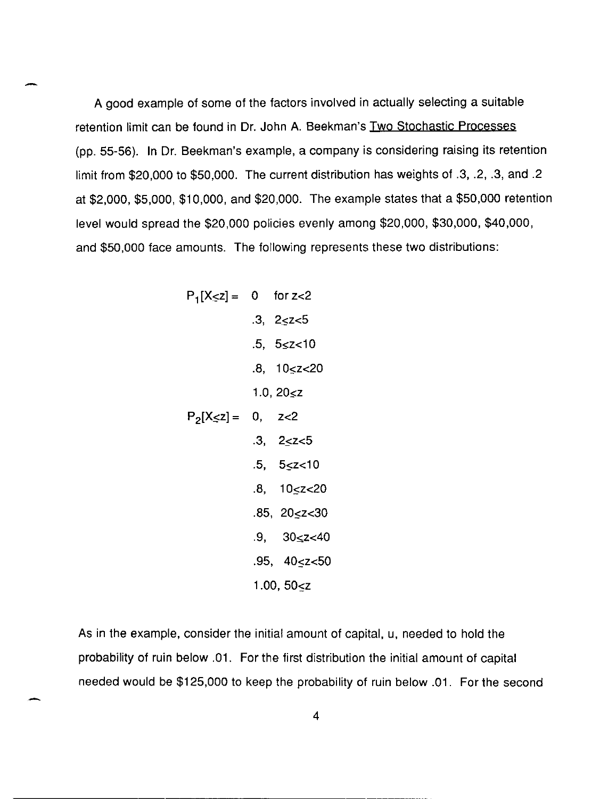A good example of some of the factors involved in actually selecting a suitable retention limit can be found in Dr. John A. Beekman's Two Stochastic Processes (pp. 55-56). In Dr. Beekman's example, a company is considering raising its retention limit from \$20,000 to \$50,000. The current distribution has weights of .3, .2, .3, and .2 at \$2,000, \$5,000, \$10,000, and \$20,000. The example states that a \$50,000 retention level would spread the \$20,000 policies evenly among \$20,000, \$30,000, \$40,000, and \$50,000 face amounts. The following represents these two distributions:

$$
P_{1}[X \leq z] = 0 \quad \text{for } z < 2
$$
\n
$$
.3, \quad 2 \leq z < 5
$$
\n
$$
.5, \quad 5 \leq z < 10
$$
\n
$$
.8, \quad 10 \leq z < 20
$$
\n
$$
1.0, \quad 20 \leq z
$$
\n
$$
P_{2}[X \leq z] = 0, \quad z < 2
$$
\n
$$
.3, \quad 2 \leq z < 5
$$
\n
$$
.5, \quad 5 \leq z < 10
$$
\n
$$
.8, \quad 10 \leq z < 20
$$
\n
$$
.85, \quad 20 \leq z < 30
$$
\n
$$
.9, \quad 30 \leq z < 40
$$
\n
$$
.95, \quad 40 \leq z < 50
$$
\n
$$
1.00, \quad 50 < z
$$

-

-

As in the example, consider the initial amount of capital, u, needed to hold the probability of ruin below .01. For the first distribution the initial amount of capital needed would be \$125,000 to keep the probability of ruin below .01. For the second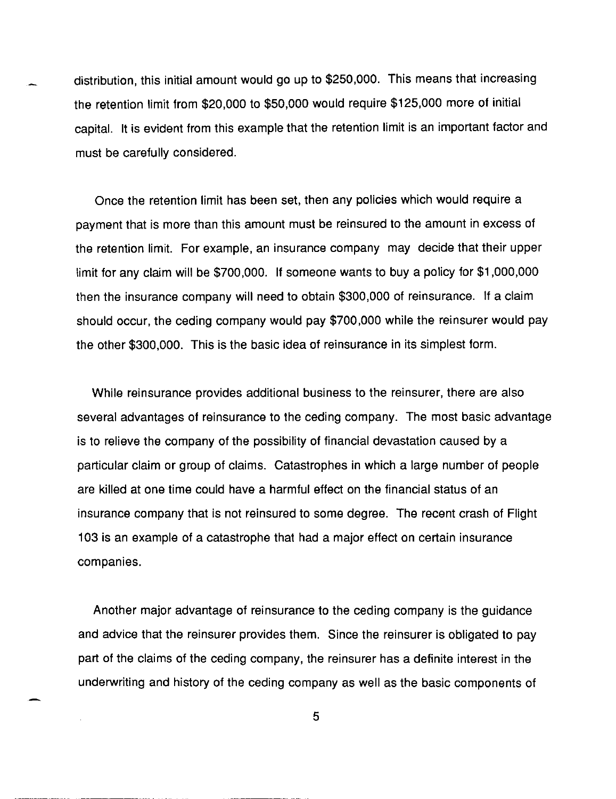distribution, this initial amount would go up to \$250,000. This means that increasing the retention limit from \$20,000 to \$50,000 would require \$125,000 more of initial capital. It is evident from this example that the retention limit is an important factor and must be carefully considered.

Once the retention limit has been set, then any policies which would require a payment that is more than this amount must be reinsured to the amount in excess of the retention limit. For example, an insurance company may decide that their upper limit for any claim will be \$700,000. If someone wants to buy a policy for \$1 ,000,000 then the insurance company will need to obtain \$300,000 of reinsurance. If a claim should occur, the ceding company would pay \$700,000 while the reinsurer would pay the other \$300,000. This is the basic idea of reinsurance in its simplest form.

While reinsurance provides additional business to the reinsurer, there are also several advantages of reinsurance to the ceding company. The most basic advantage is to relieve the company of the possibility of financial devastation caused by a particular claim or group of claims. Catastrophes in which a large number of people are killed at one time could have a harmful effect on the financial status of an insurance company that is not reinsured to some degree. The recent crash of Flight 103 is an example of a catastrophe that had a major effect on certain insurance companies.

Another major advantage of reinsurance to the ceding company is the guidance and advice that the reinsurer provides them. Since the reinsurer is obligated to pay part of the claims of the ceding company, the reinsurer has a definite interest in the underwriting and history of the ceding company as well as the basic components of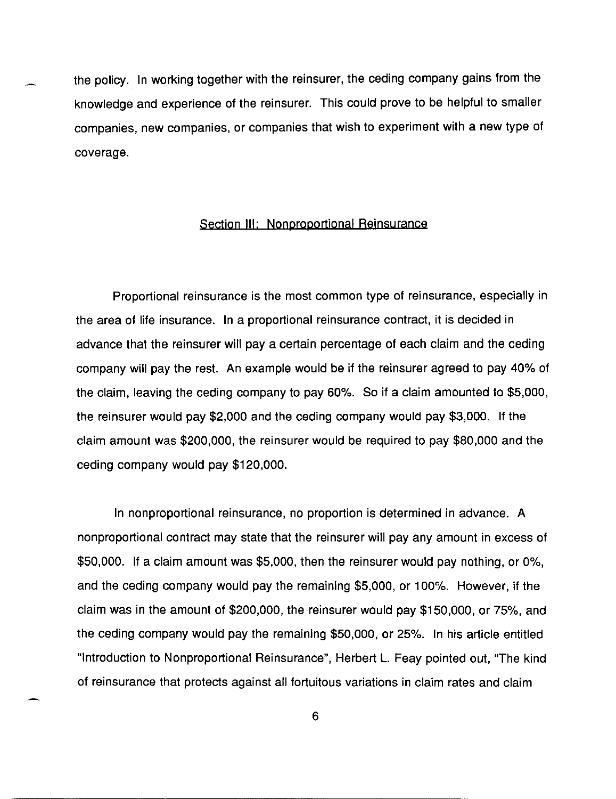the policy. In working together with the reinsurer, the ceding company gains from the knowledge and experience of the reinsurer. This could prove to be helpful to smaller companies, new companies, or companies that wish to experiment with a new type of coverage.

#### Section **III;** Nonproportional Reinsurance

Proportional reinsurance is the most common type of reinsurance, especially in the area of life insurance. In a proportional reinsurance contract, it is decided in advance that the reinsurer will pay a certain percentage of each claim and the ceding company will pay the rest. An example would be if the reinsurer agreed to pay 40% of the claim, leaving the ceding company to pay 60%. So if a claim amounted to \$5,000, the reinsurer would pay \$2,000 and the ceding company would pay \$3,000. If the claim amount was \$200,000, the reinsurer would be required to pay \$80,000 and the ceding company would pay \$120,000.

In nonproportional reinsurance, no proportion is determined in advance. A nonproportional contract may state that the reinsurer will pay any amount in excess of \$50,000. If a claim amount was \$5,000, then the reinsurer would pay nothing, or 0%, and the ceding company would pay the remaining \$5,000, or 100%. However, if the claim was in the amount of \$200,000, the reinsurer would pay \$150,000, or 75%, and the ceding company would pay the remaining \$50,000, or 25%. In his article entitled "Introduction to Nonproportional Reinsurance", Herbert L. Feay pointed out, "The kind of reinsurance that protects against all fortuitous variations in claim rates and claim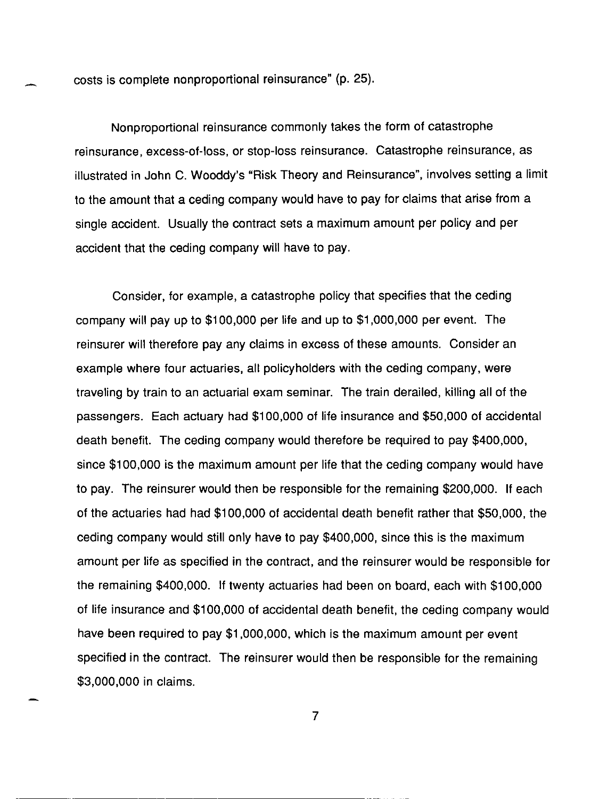costs is complete nonproportional reinsurance" (p. 25).

Nonproportional reinsurance commonly takes the form of catastrophe reinsurance, excess-of-Ioss, or stop-loss reinsurance. Catastrophe reinsurance, as illustrated in John C. Wooddy's "Risk Theory and Reinsurance", involves setting a limit to the amount that a ceding company would have to pay for claims that arise from a single accident. Usually the contract sets a maximum amount per policy and per accident that the ceding company will have to pay.

Consider, for example, a catastrophe policy that specifies that the ceding company will pay up to \$100,000 per life and up to \$1,000,000 per event. The reinsurer will therefore pay any claims in excess of these amounts. Consider an example where four actuaries, all policyholders with the ceding company, were traveling by train to an actuarial exam seminar. The train derailed, killing all of the passengers. Each actuary had \$100,000 of life insurance and \$50,000 of accidental death benefit. The ceding company would therefore be required to pay \$400,000, since \$100,000 is the maximum amount per life that the ceding company would have to pay. The reinsurer would then be responsible for the remaining \$200,000. If each of the actuaries had had \$100,000 of accidental death benefit rather that \$50,000, the ceding company would still only have to pay \$400,000, since this is the maximum amount per life as specified in the contract, and the reinsurer would be responsible for the remaining \$400,000. If twenty actuaries had been on board, each with \$100,000 of life insurance and \$100,000 of accidental death benefit, the ceding company would have been required to pay \$1,000,000, which is the maximum amount per event specified in the contract. The reinsurer would then be responsible for the remaining \$3,000,000 in claims.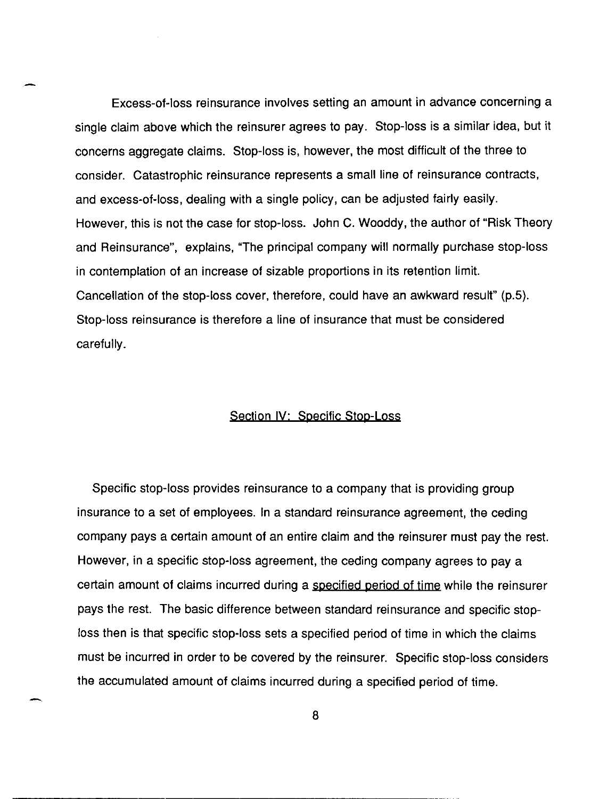Excess-of-Ioss reinsurance involves setting an amount in advance concerning a single claim above which the reinsurer agrees to pay. Stop-loss is a similar idea, but it concerns aggregate claims. Stop-loss is, however, the most difficult of the three to consider. Catastrophic reinsurance represents a small line of reinsurance contracts, and excess-of-Ioss, dealing with a single policy, can be adjusted fairly easily. However, this is not the case for stop-loss. John C. Wooddy, the author of "Risk Theory and Reinsurance", explains, "The principal company will normally purchase stop-loss in contemplation of an increase of sizable proportions in its retention limit. Cancellation of the stop-loss cover, therefore, could have an awkward result" (p.5). Stop-loss reinsurance is therefore a line of insurance that must be considered carefully.

#### Section IV: Specific Stop-Loss

Specific stop-loss provides reinsurance to a company that is providing group insurance to a set of employees. In a standard reinsurance agreement, the ceding company pays a certain amount of an entire claim and the reinsurer must pay the rest. However, in a specific stop-loss agreement, the ceding company agrees to pay a certain amount of claims incurred during a specified period of time while the reinsurer pays the rest. The basic difference between standard reinsurance and specific stoploss then is that specific stop-loss sets a specified period of time in which the claims must be incurred in order to be covered by the reinsurer. Specific stop-loss considers the accumulated amount of claims incurred during a specified period of time.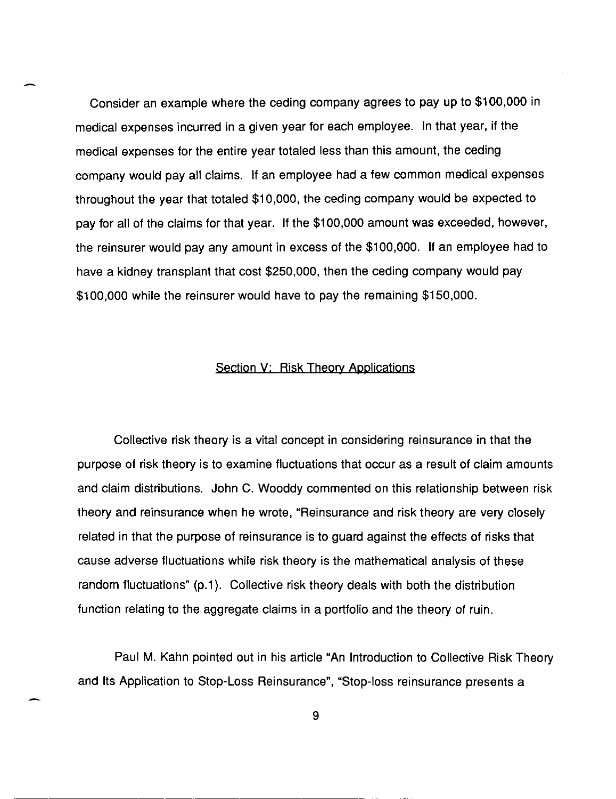Consider an example where the ceding company agrees to pay up to \$100,000 in medical expenses incurred in a given year for each employee. In that year, if the medical expenses for the entire year totaled less than this amount, the ceding company would pay all claims. If an employee had a few common medical expenses throughout the year that totaled \$10,000, the ceding company would be expected to pay for all of the claims for that year. If the \$100,000 amount was exceeded, however, the reinsurer would pay any amount in excess of the \$100,000. If an employee had to have a kidney transplant that cost \$250,000, then the ceding company would pay \$100,000 while the reinsurer would have to pay the remaining \$150,000.

#### Section V: Risk Theory Applications

Collective risk theory is a vital concept in considering reinsurance in that the purpose of risk theory is to examine fluctuations that occur as a result of claim amounts and claim distributions. John C. Wooddy commented on this relationship between risk theory and reinsurance when he wrote, "Reinsurance and risk theory are very closely related in that the purpose of reinsurance is to guard against the effects of risks that cause adverse fluctuations while risk theory is the mathematical analysis of these random fluctuations" (p.1). Collective risk theory deals with both the distribution function relating to the aggregate claims in a portfolio and the theory of ruin.

Paul M. Kahn pointed out in his article "An Introduction to Collective Risk Theory and Its Application to Stop-Loss Reinsurance", "Stop-loss reinsurance presents a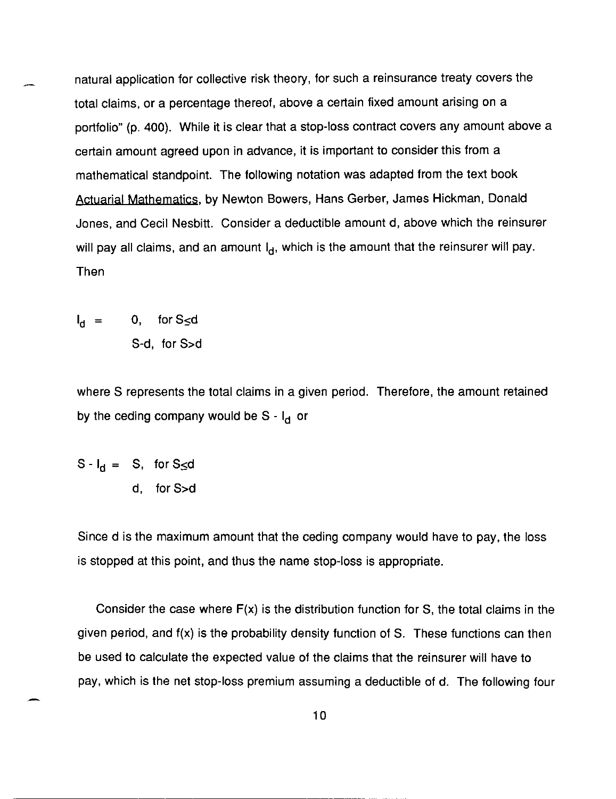natural application for collective risk theory, for such a reinsurance treaty covers the total claims, or a percentage thereof, above a certain fixed amount arising on a portfolio" (p. 400). While it is clear that a stop-loss contract covers any amount above a certain amount agreed upon in advance, it is important to consider this from a mathematical standpoint. The following notation was adapted from the text book Actuarial Mathematics, by Newton Bowers, Hans Gerber, James Hickman, Donald Jones, and Cecil Nesbitt. Consider a deductible amount d, above which the reinsurer will pay all claims, and an amount  $I_d$ , which is the amount that the reinsurer will pay. Then

$$
I_d = 0, \quad \text{for } S \leq d
$$
  
S-d, for S > d

where S represents the total claims in a given period. Therefore, the amount retained by the ceding company would be  $S - I_d$  or

$$
S - I_d = S, \text{ for } S \le d
$$
  
d, for S > d

Since d is the maximum amount that the ceding company would have to pay, the loss is stopped at this point, and thus the name stop-loss is appropriate.

Consider the case where  $F(x)$  is the distribution function for S, the total claims in the given period, and f(x) is the probability density function of S. These functions can then be used to calculate the expected value of the claims that the reinsurer will have to pay, which is the net stop-loss premium assuming a deductible of d. The following four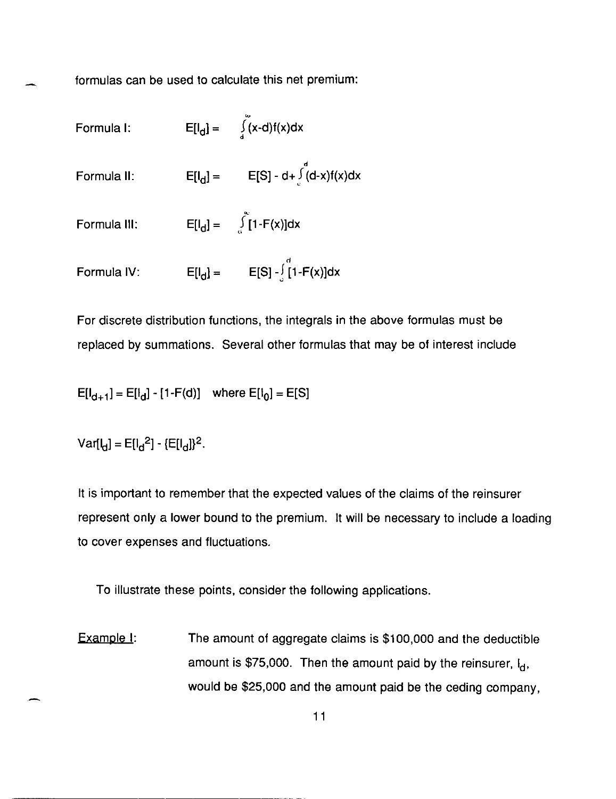formulas can be used to calculate this net premium:

- Formula I:  $E[I_d] = \int \tilde{(x-d)f(x)dx}$ ا د<br>ا
- Formula II:  $E[l_d] = E[S] d + \int d^d(x) f(x) dx$
- Formula III:  $E[I_{d}] = \{1 F(x)\}dx$ "
- Formula IV:  $E[I_d] = E[S] \int_{a}^{d} [1-F(x)]dx$

For discrete distribution functions, the integrals in the above formulas must be replaced by summations. Several other formulas that may be of interest include

$$
E[I_{d+1}] = E[I_d] - [1 - F(d)] \text{ where } E[I_0] = E[S]
$$

 $Var[L_1] = E[L_1^2] - [E[L_1]]^2$ .

It is important to remember that the expected values of the claims of the reinsurer represent only a lower bound to the premium. It will be necessary to include a loading to cover expenses and fluctuations.

To illustrate these points, consider the following applications.

Example I: The amount of aggregate claims is \$100,000 and the deductible amount is \$75,000. Then the amount paid by the reinsurer, I<sub>d</sub>, would be \$25,000 and the amount paid be the ceding company,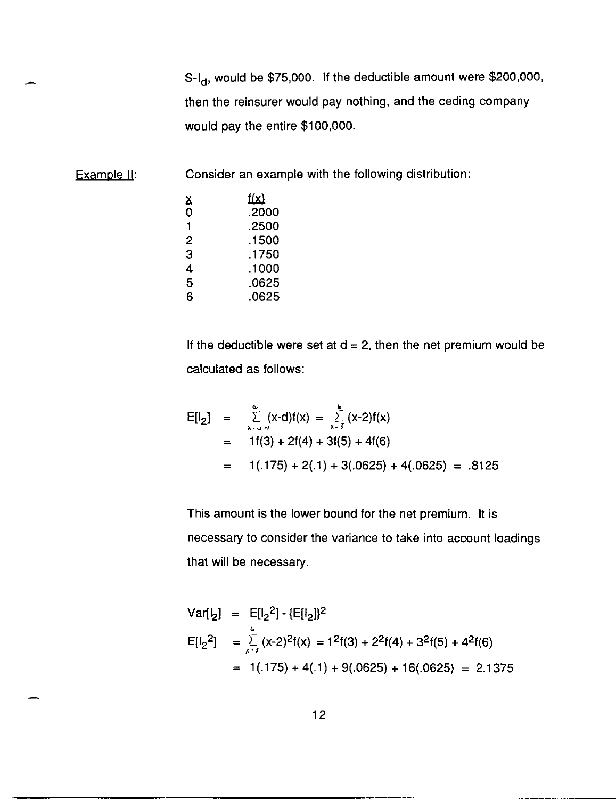$S-I_d$ , would be \$75,000. If the deductible amount were \$200,000, then the reinsurer would pay nothing, and the ceding company would pay the entire \$100,000.

Example II: Consider an example with the following distribution:

| x | <u>f(x)</u> |
|---|-------------|
| 0 | .2000       |
| 1 | .2500       |
| 2 | .1500       |
| 3 | .1750       |
| 4 | .1000       |
| 5 | .0625       |
| 6 | .0625       |

If the deductible were set at  $d = 2$ , then the net premium would be calculated as follows:

$$
E[I2] = \sum_{x=a+t}^{\infty} (x-d)f(x) = \sum_{x=3}^{6} (x-2)f(x)
$$
  
= 1f(3) + 2f(4) + 3f(5) + 4f(6)  
= 1(.175) + 2(.1) + 3(.0625) + 4(.0625) = .8125

This amount is the lower bound for the net premium. It is necessary to consider the variance to take into account loadings that will be necessary.

Var[
$$
\ell_2
$$
] = E[ $\ell_2^2$ ] - {E[ $\ell_2$ ]}<sup>2</sup>  
\nE[ $\ell_2^2$ ] =  $\sum_{x=3}^{6} (x-2)^2 f(x) = 1^2 f(3) + 2^2 f(4) + 3^2 f(5) + 4^2 f(6)$   
\n= 1(.175) + 4(.1) + 9(.0625) + 16(.0625) = 2.1375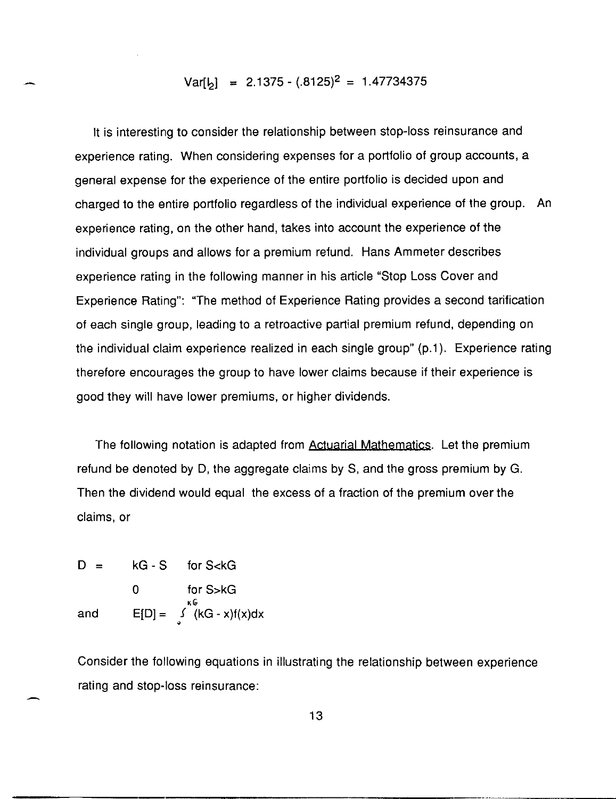# $Var[6] = 2.1375 - (.8125)^{2} = 1.47734375$

It is interesting to consider the relationship between stop-loss reinsurance and experience rating. When considering expenses for a portfolio of group accounts, a general expense for the experience of the entire portfolio is decided upon and charged to the entire portfolio regardless of the individual experience of the group. An experience rating, on the other hand, takes into account the experience of the individual groups and allows for a premium refund. Hans Ammeter describes experience rating in the following manner in his article "Stop Loss Cover and Experience Rating": "The method of Experience Rating provides a second tarification of each single group, leading to a retroactive partial premium refund, depending on the individual claim experience realized in each single group" (p.1). Experience rating therefore encourages the group to have lower claims because if their experience is good they will have lower premiums, or higher dividends.

The following notation is adapted from Actuarial Mathematics. Let the premium refund be denoted by D, the aggregate claims by S, and the gross premium by G. Then the dividend would equal the excess of a fraction of the premium over the claims, or

D = kG - S for S 
$$
\lt kG
$$
  
0 for S > kG  
and E[D] =  $\int_{0}^{kG} (kG - x)f(x)dx$ 

Consider the following equations in illustrating the relationship between experience rating and stop-loss reinsurance: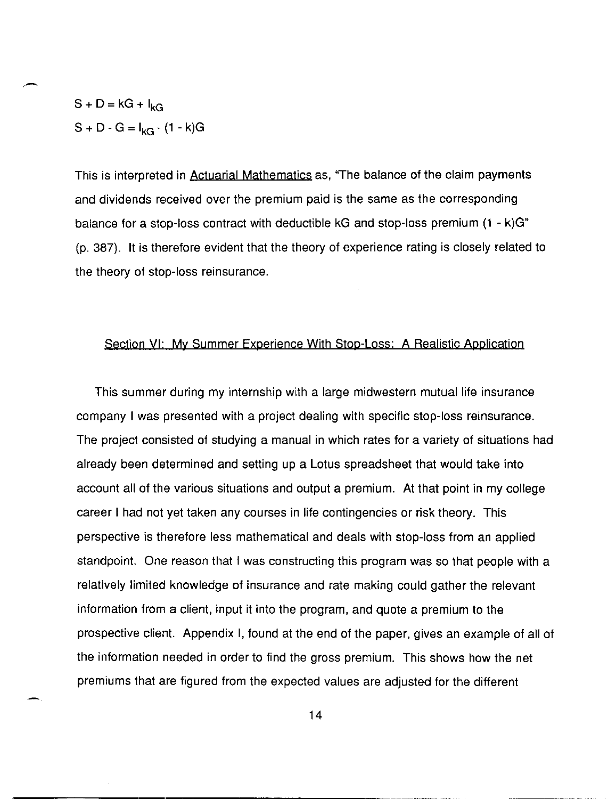$S + D = kG + I_{kG}$  $S + D - G = I_{kG} - (1 - k)G$ 

This is interpreted in Actuarial Mathematics as, "The balance of the claim payments and dividends received over the premium paid is the same as the corresponding balance for a stop-loss contract with deductible kG and stop-loss premium (1 - k)G" (p. 387). It is therefore evident that the theory of experience rating is closely related to the theory of stop-loss reinsurance.

#### Section VI: My Summer Experience With Stop-Loss: A Realistic Application

This summer during my internship with a large midwestern mutual life insurance company I was presented with a project dealing with specific stop-loss reinsurance. The project consisted of studying a manual in which rates for a variety of situations had already been determined and setting up a Lotus spreadsheet that would take into account all of the various situations and output a premium. At that point in my college career I had not yet taken any courses in life contingencies or risk theory. This perspective is therefore less mathematical and deals with stop-loss from an applied standpoint. One reason that I was constructing this program was so that people with a relatively limited knowledge of insurance and rate making could gather the relevant information from a client, input it into the program, and quote a premium to the prospective client. Appendix I, found at the end of the paper, gives an example of all of the information needed in order to find the gross premium. This shows how the net premiums that are figured from the expected values are adjusted for the different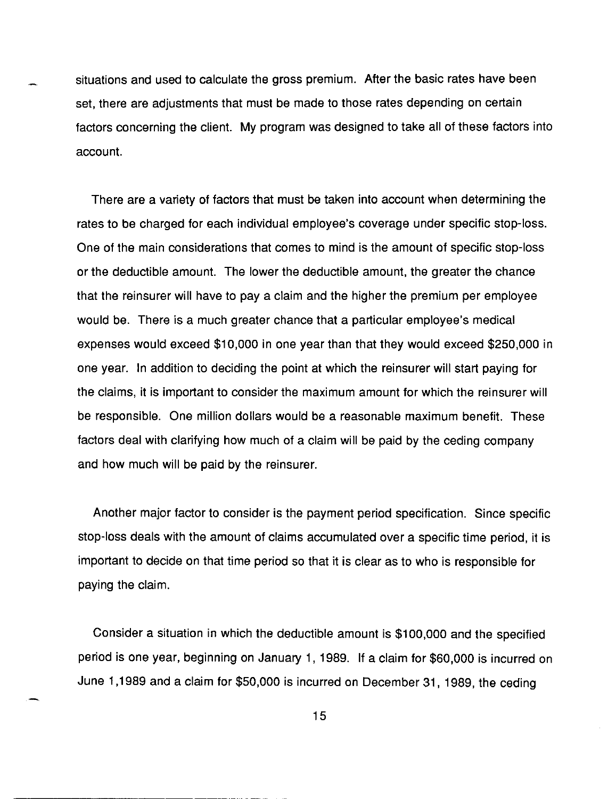situations and used to calculate the gross premium. After the basic rates have been set, there are adjustments that must be made to those rates depending on certain factors concerning the client. My program was designed to take all of these factors into account.

There are a variety of factors that must be taken into account when determining the rates to be charged for each individual employee's coverage under specific stop-loss. One of the main considerations that comes to mind is the amount of specific stop-loss or the deductible amount. The lower the deductible amount, the greater the chance that the reinsurer will have to pay a claim and the higher the premium per employee would be. There is a much greater chance that a particular employee's medical expenses would exceed \$10,000 in one year than that they would exceed \$250,000 in one year. In addition to deciding the point at which the reinsurer will start paying for the claims, it is important to consider the maximum amount for which the reinsurer will be responsible. One million dollars would be a reasonable maximum benefit. These factors deal with clarifying how much of a claim will be paid by the ceding company and how much will be paid by the reinsurer.

Another major factor to consider is the payment period specification. Since specific stop-loss deals with the amount of claims accumulated over a specific time period, it is important to decide on that time period so that it is clear as to who is responsible for paying the claim.

Consider a situation in which the deductible amount is \$100,000 and the specified period is one year, beginning on January 1, 1989. If a claim for \$60,000 is incurred on June 1,1989 and a claim for \$50,000 is incurred on December 31, 1989, the ceding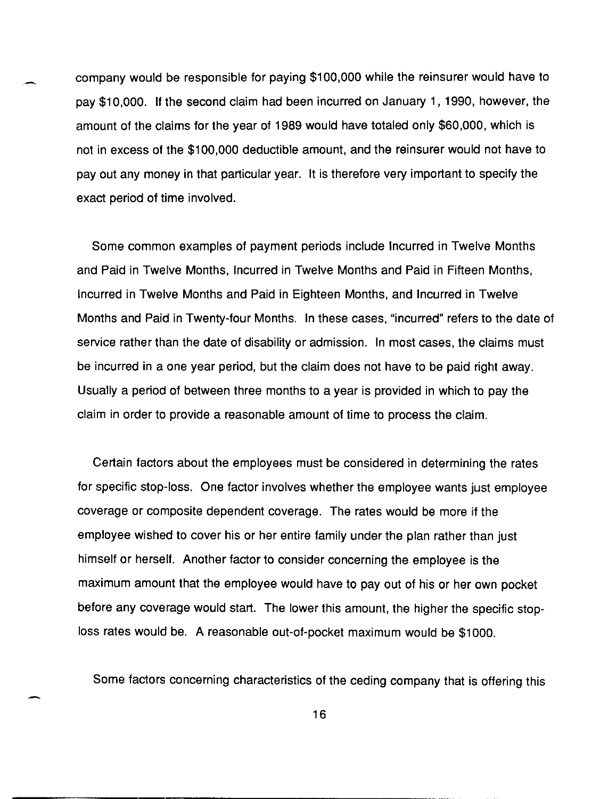company would be responsible for paying \$100,000 while the reinsurer would have to pay \$10,000. If the second claim had been incurred on January 1, 1990, however, the amount of the claims for the year of 1989 would have totaled only \$60,000, which is not in excess of the \$100,000 deductible amount, and the reinsurer would not have to payout any money in that particular year. It is therefore very important to specify the exact period of time involved.

Some common examples of payment periods include Incurred in Twelve Months and Paid in Twelve Months, Incurred in Twelve Months and Paid in Fifteen Months, Incurred in Twelve Months and Paid in Eighteen Months, and Incurred in Twelve Months and Paid in Twenty-four Months. In these cases, "incurred" refers to the date of service rather than the date of disability or admission. In most cases, the claims must be incurred in a one year period, but the claim does not have to be paid right away. Usually a period of between three months to a year is provided in which to pay the claim in order to provide a reasonable amount of time to process the claim.

Certain factors about the employees must be considered in determining the rates for specific stop·loss. One factor involves whether the employee wants just employee coverage or composite dependent coverage. The rates would be more if the employee wished to cover his or her entire family under the plan rather than just himself or herself. Another factor to consider concerning the employee is the maximum amount that the employee would have to payout of his or her own pocket before any coverage would start. The lower this amount, the higher the specific stoploss rates would be. A reasonable out-of-pocket maximum would be \$1000.

Some factors concerning characteristics of the ceding company that is offering this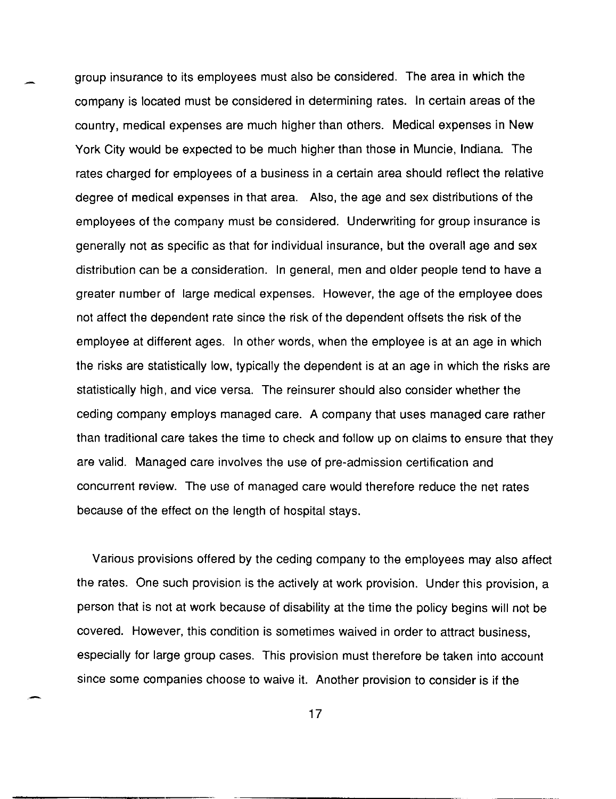group insurance to its employees must also be considered. The area in which the company is located must be considered in determining rates. In certain areas of the country, medical expenses are much higher than others. Medical expenses in New York City would be expected to be much higher than those in Muncie, Indiana. The rates charged for employees of a business in a certain area should reflect the relative degree of medical expenses in that area. Also, the age and sex distributions of the employees of the company must be considered. Underwriting for group insurance is generally not as specific as that for individual insurance, but the overall age and sex distribution can be a consideration. In general, men and older people tend to have a greater number of large medical expenses. However, the age of the employee does not affect the dependent rate since the risk of the dependent offsets the risk of the employee at different ages. In other words, when the employee is at an age in which the risks are statistically low, typically the dependent is at an age in which the risks are statistically high, and vice versa. The reinsurer should also consider whether the ceding company employs managed care. A company that uses managed care rather than traditional care takes the time to check and follow up on claims to ensure that they are valid. Managed care involves the use of pre-admission certification and concurrent review. The use of managed care would therefore reduce the net rates because of the effect on the length of hospital stays.

Various provisions offered by the ceding company to the employees may also affect the rates. One such provision is the actively at work provision. Under this provision, a person that is not at work because of disability at the time the policy begins will not be covered. However, this condition is sometimes waived in order to attract business, especially for large group cases. This provision must therefore be taken into account since some companies choose to waive it. Another provision to consider is if the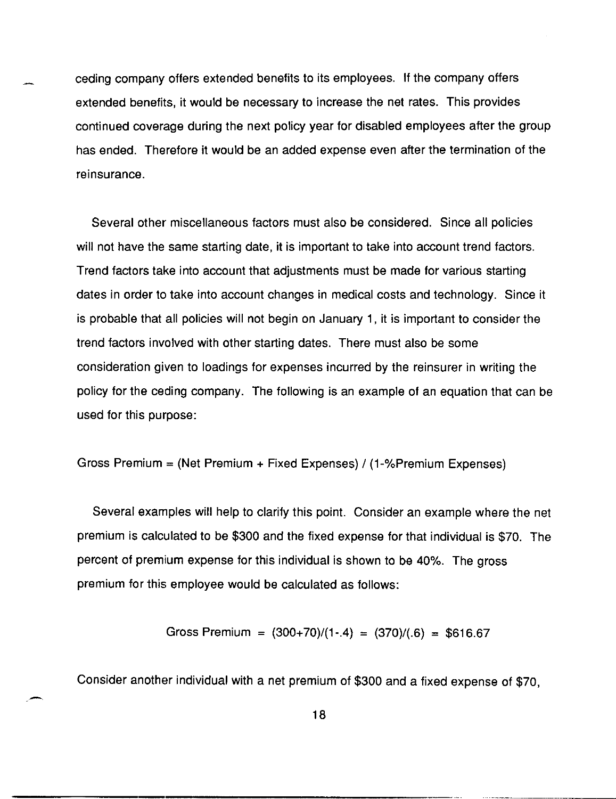ceding company offers extended benefits to its employees. If the company offers extended benefits, it would be necessary to increase the net rates. This provides continued coverage during the next policy year for disabled employees after the group has ended. Therefore it would be an added expense even after the termination of the reinsurance.

Several other miscellaneous factors must also be considered. Since all policies will not have the same starting date, it is important to take into account trend factors. Trend factors take into account that adjustments must be made for various starting dates in order to take into account changes in medical costs and technology. Since it is probable that all policies will not begin on January 1, it is important to consider the trend factors involved with other starting dates. There must also be some consideration given to loadings for expenses incurred by the reinsurer in writing the policy for the ceding company. The following is an example of an equation that can be used for this purpose:

Gross Premium = (Net Premium + Fixed Expenses) / 
$$
(1 - %Premium Expenses)
$$

Several examples will help to clarify this point. Consider an example where the net premium is calculated to be \$300 and the fixed expense for that individual is \$70. The percent of premium expense for this individual is shown to be 40%. The gross premium for this employee would be calculated as follows:

Gross Premium = 
$$
(300+70)/(1-4) = (370)/(.6) = $616.67
$$

Consider another individual with a net premium of \$300 and a fixed expense of \$70,

-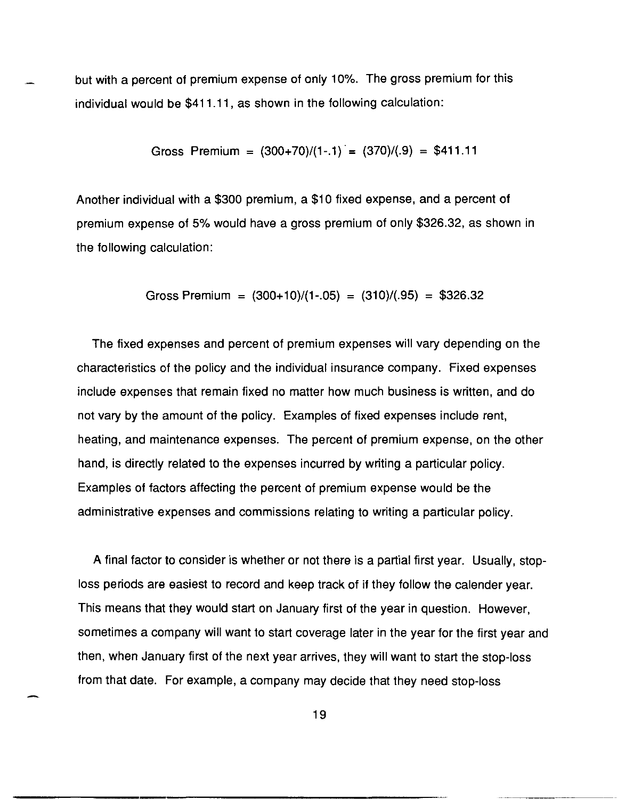but with a percent of premium expense of only 10%. The gross premium for this individual would be \$411.11, as shown in the following calculation:

Gross Premium = 
$$
(300+70)/(1-.1) = (370)/(.9) = $411.11
$$

Another individual with a \$300 premium, a \$10 fixed expense, and a percent of premium expense of 5% would have a gross premium of only \$326.32, as shown in the following calculation:

Gross Premium = 
$$
(300+10)/(1-.05) = (310)/(.95) = $326.32
$$

The fixed expenses and percent of premium expenses will vary depending on the characteristics of the policy and the individual insurance company. Fixed expenses include expenses that remain fixed no matter how much business is written, and do not vary by the amount of the policy. Examples of fixed expenses include rent, heating, and maintenance expenses. The percent of premium expense, on the other hand, is directly related to the expenses incurred by writing a particular policy. Examples of factors affecting the percent of premium expense would be the administrative expenses and commissions relating to writing a particular policy.

A final factor to consider is whether or not there is a partial first year. Usually, stoploss periods are easiest to record and keep track of if they follow the calender year. This means that they would start on January first of the year in question. However, sometimes a company will want to start coverage later in the year for the first year and then, when January first of the next year arrives, they will want to start the stop-loss from that date. For example, a company may decide that they need stop-loss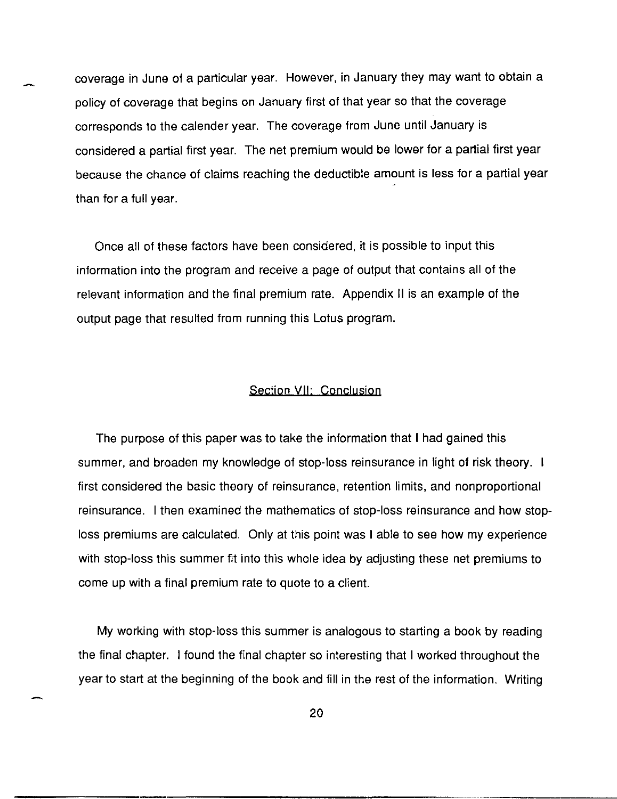coverage in June of a particular year. However, in January they may want to obtain a policy of coverage that begins on January first of that year so that the coverage corresponds to the calender year. The coverage from June until January is considered a partial first year. The net premium would be lower for a partial first year because the chance of claims reaching the deductible amount is less for a partial year than for a full year.

Once all of these factors have been considered, it is possible to input this information into the program and receive a page of output that contains all of the relevant information and the final premium rate. Appendix II is an example of the output page that resulted from running this Lotus program.

#### Section VII: Conclusion

The purpose of this paper was to take the information that I had gained this summer, and broaden my knowledge of stop-loss reinsurance in light of risk theory. I first considered the basic theory of reinsurance, retention limits, and non proportional reinsurance. I then examined the mathematics of stop-loss reinsurance and how stoploss premiums are calculated. Only at this point was I able to see how my experience with stop-loss this summer fit into this whole idea by adjusting these net premiums to come up with a final premium rate to quote to a client.

My working with stop-loss this summer is analogous to starting a book by reading the final chapter. I found the final chapter so interesting that I worked throughout the year to start at the beginning of the book and fill in the rest of the information. Writing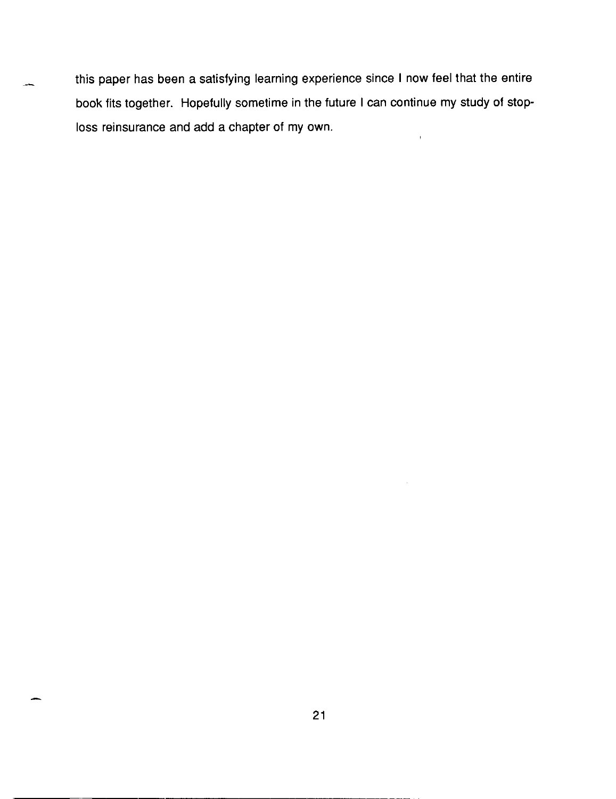this paper has been a satisfying learning experience since I now feel that the entire book fits together. Hopefully sometime in the future I can continue my study of stoploss reinsurance and add a chapter of my own.  $\hat{\mathbf{r}}$ 

 $\mathcal{A}$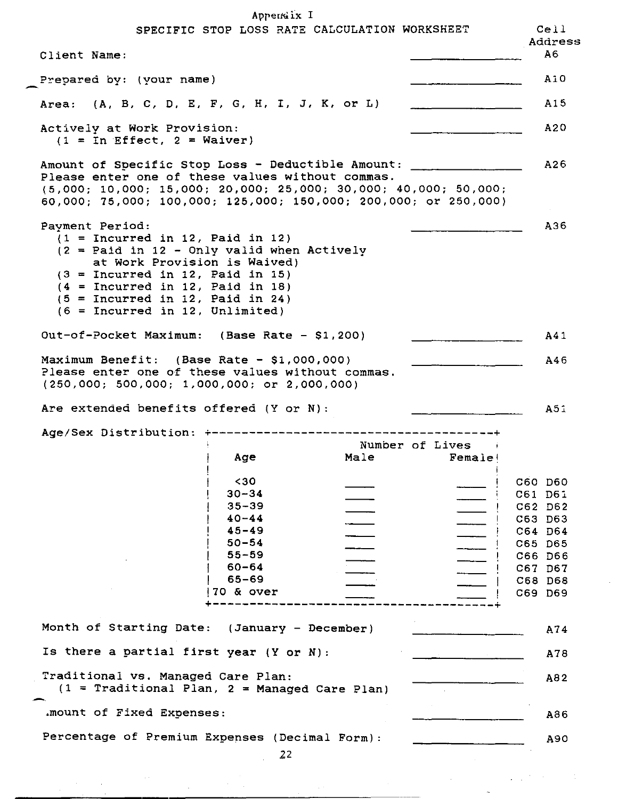$An part is I$ 

|                                                                                                                                                                                          | Appeneix 1             |                                               |        |                    |
|------------------------------------------------------------------------------------------------------------------------------------------------------------------------------------------|------------------------|-----------------------------------------------|--------|--------------------|
|                                                                                                                                                                                          |                        | SPECIFIC STOP LOSS RATE CALCULATION WORKSHEET |        | Cell<br>Address    |
| Client Name:                                                                                                                                                                             |                        |                                               |        | A6                 |
| Prepared by: (your name)                                                                                                                                                                 |                        |                                               |        | A10                |
| Area: (A, B, C, D, E, F, G, H, I, J, K, or L)                                                                                                                                            |                        |                                               |        | A15                |
| Actively at Work Provision:                                                                                                                                                              |                        |                                               |        | A20                |
| $(1 = In Effect, 2 = Waiver)$                                                                                                                                                            |                        |                                               |        |                    |
| Amount of Specific Stop Loss - Deductible Amount: $\frac{1}{1}$                                                                                                                          |                        |                                               |        | A26                |
| Please enter one of these values without commas.<br>$(5,000; 10,000; 15,000; 20,000; 25,000; 30,000; 40,000; 50,000;$<br>60,000; 75,000; 100,000; 125,000; 150,000; 200,000; or 250,000) |                        |                                               |        |                    |
| Payment Period:                                                                                                                                                                          |                        |                                               |        | A36                |
| $(1 = Incurrent in 12, Paid in 12)$<br>$(2 =$ Paid in 12 - Only valid when Actively                                                                                                      |                        |                                               |        |                    |
| at Work Provision is Waived)<br>$(3 = Incurrent in 12, Paid in 15)$                                                                                                                      |                        |                                               |        |                    |
| $(4 = Incurred in 12, Paid in 18)$                                                                                                                                                       |                        |                                               |        |                    |
| $(5 = Incurred in 12, Paid in 24)$                                                                                                                                                       |                        |                                               |        |                    |
| $(6 = Incurrent in 12, Unlimited)$                                                                                                                                                       |                        |                                               |        |                    |
| Out-of-Pocket Maximum: (Base Rate - \$1,200)                                                                                                                                             |                        |                                               |        | A41                |
| Maximum Benefit: $(Base Rate - $1,000,000)$                                                                                                                                              |                        |                                               |        | A46                |
| Please enter one of these values without commas.<br>$(250,000; 500,000; 1,000,000; or 2,000,000)$                                                                                        |                        |                                               |        |                    |
|                                                                                                                                                                                          |                        |                                               |        |                    |
| Are extended benefits offered (Y or N):                                                                                                                                                  |                        |                                               |        | A51                |
| Age/Sex Distribution:                                                                                                                                                                    |                        |                                               |        |                    |
|                                                                                                                                                                                          |                        | Number of Lives                               |        |                    |
|                                                                                                                                                                                          | Age                    | Male                                          | Female |                    |
|                                                                                                                                                                                          | $30$                   |                                               |        | C60 D60            |
|                                                                                                                                                                                          | $30 - 34$              |                                               |        | C61 D61            |
|                                                                                                                                                                                          | $35 - 39$<br>$40 - 44$ |                                               |        | C62 D62<br>C63 D63 |
|                                                                                                                                                                                          | $45 - 49$              |                                               |        | C64 D64            |
|                                                                                                                                                                                          | $50 - 54$              |                                               |        | C65 D65            |
|                                                                                                                                                                                          | $55 - 59$              |                                               |        | C66 D66            |
|                                                                                                                                                                                          | $60 - 64$              |                                               |        | C67 D67            |
|                                                                                                                                                                                          | $65 - 69$              |                                               |        | C68 D68            |
|                                                                                                                                                                                          | 70 & over              |                                               |        | C69 D69            |
|                                                                                                                                                                                          |                        |                                               |        |                    |
| Month of Starting Date: (January - December)                                                                                                                                             |                        |                                               |        | A74                |
| Is there a partial first year $(Y \text{ or } N)$ :                                                                                                                                      |                        |                                               |        | A78                |
| Traditional vs. Managed Care Plan:                                                                                                                                                       |                        |                                               |        | A82                |
| $(1 = \text{Traditional Plan}, 2 = \text{Managed Care Plan})$                                                                                                                            |                        |                                               |        |                    |
| .mount of Fixed Expenses:                                                                                                                                                                |                        |                                               |        | A86                |
| Percentage of Premium Expenses (Decimal Form):                                                                                                                                           |                        |                                               |        | A90                |

 $\mathcal{L}^{\mathcal{L}}$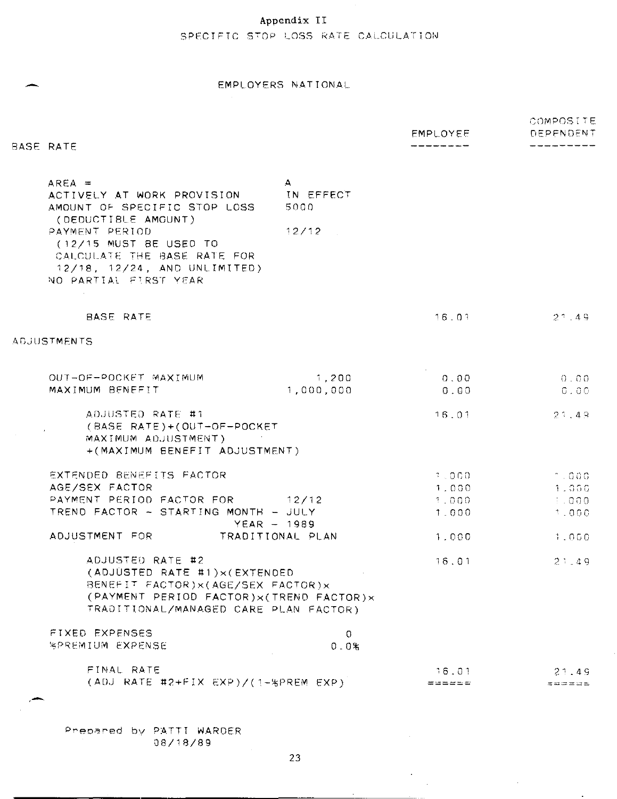## Appendix II

## SPECIFIC STOP LOSS RATE CALCULATION

#### EMPLOYERS NATIONAL

|                                                                                                                                                                                                        |                                   | <b>EMPLOYEE</b> | COMPOSITE<br>DEPENDENT           |
|--------------------------------------------------------------------------------------------------------------------------------------------------------------------------------------------------------|-----------------------------------|-----------------|----------------------------------|
| BASE RATE                                                                                                                                                                                              |                                   |                 |                                  |
| $AREA =$<br>ACTIVELY AT WORK PROVISION<br>AMOUNT OF SPECIFIC STOP LOSS                                                                                                                                 | $\mathbf{A}$<br>IN EFFECT<br>5000 |                 |                                  |
| (DEDUCTIBLE AMOUNT)<br>PAYMENT PERIOD<br>$(12/15$ MUST BE USED TO<br>CALCULATE THE BASE RATE FOR<br>12/18, 12/24, AND UNLIMITED)<br>NO PARTIAL FIRST YEAR                                              | 12/12                             |                 |                                  |
| BASE RATE                                                                                                                                                                                              |                                   | 16.01           | $2^{\degree}$ , 49               |
| ADJUSTMENTS                                                                                                                                                                                            |                                   |                 |                                  |
| OUT-OF-POCKET MAXIMUM                                                                                                                                                                                  | 1,200                             | 0.00            | $0 - 0.0$                        |
| MAXIMUM BENEFIT                                                                                                                                                                                        | 1,000,000                         | 0.00            | $G \cup O O$                     |
| ADJUSTED RATE #1<br>(BASE RATE)+(OUT-OF-POCKET<br>MAXIMUM ADJUSTMENT)<br>+(MAXIMUM BENEFIT ADJUSTMENT)                                                                                                 |                                   | 16.01           | 2749                             |
| EXTENDED BENEFITS FACTOR                                                                                                                                                                               |                                   | 7.000           | -1.000                           |
| AGE/SEX FACTOR                                                                                                                                                                                         |                                   | 1.000           | 1.000                            |
| PAYMENT PERIOD FACTOR FOR                                                                                                                                                                              | 12/12                             | 1.000           | $\pm 0.000$                      |
| TREND FACTOR - STARTING MONTH - JULY                                                                                                                                                                   | $YEAR - 1989$                     | 1.000           | 1.000                            |
| ADJUSTMENT FOR                                                                                                                                                                                         | TRADITIONAL PLAN                  | 1.000           | 1.000                            |
| ADJUSTED RATE #2<br>(ADJUSTED RATE #1) $\times$ (EXTENDED<br>BENEFIT FACTOR) x (AGE/SEX FACTOR) x<br>(PAYMENT PERIOD FACTOR) $\times$ (TREND FACTOR) $\times$<br>TRADITIONAL/MANAGED CARE PLAN FACTOR) |                                   | 16.01           | 21.49                            |
| FIXED EXPENSES<br><b><i>RPREMIUM EXPENSE</i></b>                                                                                                                                                       | $\circ$<br>0.0%                   |                 |                                  |
| FINAL RATE                                                                                                                                                                                             |                                   | 16.01           | 21.49                            |
| $(ADJ RATE H2+FIX EXP)/(1-8PREM EXP)$                                                                                                                                                                  |                                   | ======          | $\equiv$ as $\equiv$ as $\equiv$ |
|                                                                                                                                                                                                        |                                   |                 |                                  |

Prepared by PATTI WARDER J8/18/89